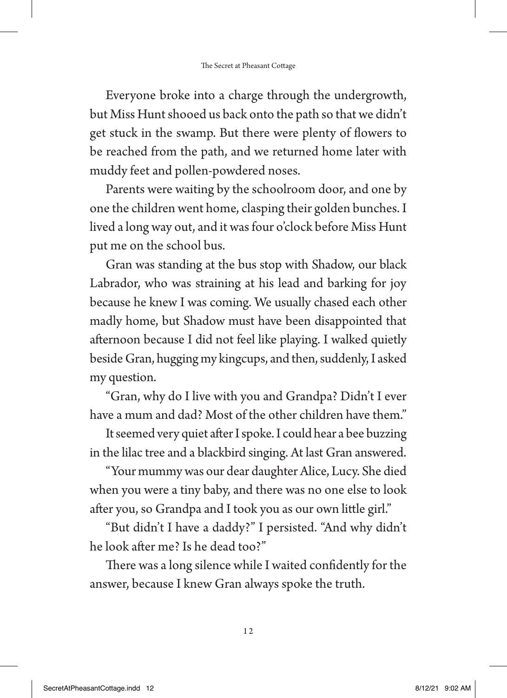Everyone broke into a charge through the undergrowth, but Miss Hunt shooed us back onto the path so that we didn't get stuck in the swamp. But there were plenty of flowers to be reached from the path, and we returned home later with muddy feet and pollen-powdered noses.

Parents were waiting by the schoolroom door, and one by one the children went home, clasping their golden bunches. I lived a long way out, and it was four o'clock before Miss Hunt put me on the school bus.

Gran was standing at the bus stop with Shadow, our black Labrador, who was straining at his lead and barking for joy because he knew I was coming. We usually chased each other madly home, but Shadow must have been disappointed that afternoon because I did not feel like playing. I walked quietly beside Gran, hugging my kingcups, and then, suddenly, I asked my question.

"Gran, why do I live with you and Grandpa? Didn't I ever have a mum and dad? Most of the other children have them."

It seemed very quiet after I spoke. I could hear a bee buzzing in the lilac tree and a blackbird singing. At last Gran answered.

"Your mummy was our dear daughter Alice, Lucy. She died when you were a tiny baby, and there was no one else to look after you, so Grandpa and I took you as our own little girl."

"But didn't I have a daddy?" I persisted. "And why didn't he look after me? Is he dead too?"

There was a long silence while I waited confidently for the answer, because I knew Gran always spoke the truth.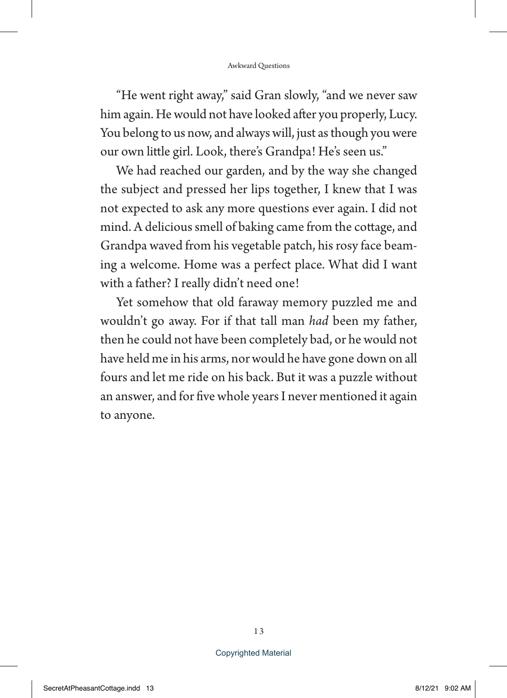"He went right away," said Gran slowly, "and we never saw him again. He would not have looked after you properly, Lucy. You belong to us now, and always will, just as though you were our own little girl. Look, there's Grandpa! He's seen us."

We had reached our garden, and by the way she changed the subject and pressed her lips together, I knew that I was not expected to ask any more questions ever again. I did not mind. A delicious smell of baking came from the cottage, and Grandpa waved from his vegetable patch, his rosy face beaming a welcome. Home was a perfect place. What did I want with a father? I really didn't need one!

Yet somehow that old faraway memory puzzled me and wouldn't go away. For if that tall man *had* been my father, then he could not have been completely bad, or he would not have held me in his arms, nor would he have gone down on all fours and let me ride on his back. But it was a puzzle without an answer, and for five whole years I never mentioned it again to anyone.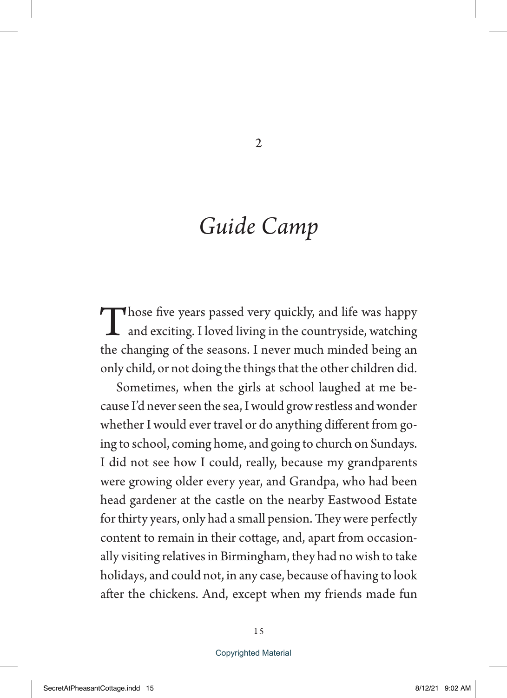## *Guide Camp*

Those five years passed very quickly, and life was happy and exciting. I loved living in the countryside, watching the changing of the seasons. I never much minded being an only child, or not doing the things that the other children did.

Sometimes, when the girls at school laughed at me because I'd never seen the sea, I would grow restless and wonder whether I would ever travel or do anything different from going to school, coming home, and going to church on Sundays. I did not see how I could, really, because my grandparents were growing older every year, and Grandpa, who had been head gardener at the castle on the nearby Eastwood Estate for thirty years, only had a small pension. They were perfectly content to remain in their cottage, and, apart from occasionally visiting relatives in Birmingham, they had no wish to take holidays, and could not, in any case, because of having to look after the chickens. And, except when my friends made fun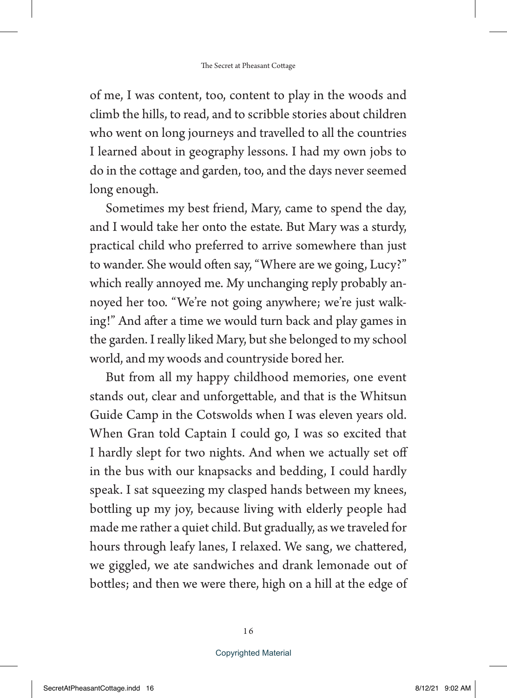of me, I was content, too, content to play in the woods and climb the hills, to read, and to scribble stories about children who went on long journeys and travelled to all the countries I learned about in geography lessons. I had my own jobs to do in the cottage and garden, too, and the days never seemed long enough.

Sometimes my best friend, Mary, came to spend the day, and I would take her onto the estate. But Mary was a sturdy, practical child who preferred to arrive somewhere than just to wander. She would often say, "Where are we going, Lucy?" which really annoyed me. My unchanging reply probably annoyed her too. "We're not going anywhere; we're just walking!" And after a time we would turn back and play games in the garden. I really liked Mary, but she belonged to my school world, and my woods and countryside bored her.

But from all my happy childhood memories, one event stands out, clear and unforgettable, and that is the Whitsun Guide Camp in the Cotswolds when I was eleven years old. When Gran told Captain I could go, I was so excited that I hardly slept for two nights. And when we actually set off in the bus with our knapsacks and bedding, I could hardly speak. I sat squeezing my clasped hands between my knees, bottling up my joy, because living with elderly people had made me rather a quiet child. But gradually, as we traveled for hours through leafy lanes, I relaxed. We sang, we chattered, we giggled, we ate sandwiches and drank lemonade out of bottles; and then we were there, high on a hill at the edge of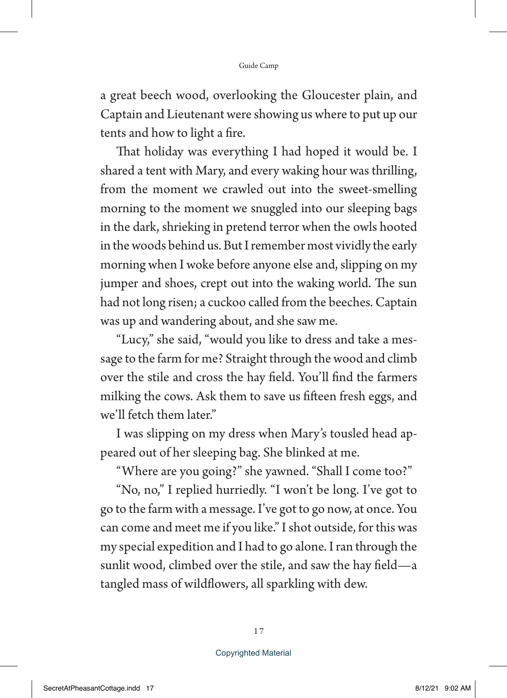a great beech wood, overlooking the Gloucester plain, and Captain and Lieutenant were showing us where to put up our tents and how to light a fire.

That holiday was everything I had hoped it would be. I shared a tent with Mary, and every waking hour was thrilling, from the moment we crawled out into the sweet-smelling morning to the moment we snuggled into our sleeping bags in the dark, shrieking in pretend terror when the owls hooted in the woods behind us. But I remember most vividly the early morning when I woke before anyone else and, slipping on my jumper and shoes, crept out into the waking world. The sun had not long risen; a cuckoo called from the beeches. Captain was up and wandering about, and she saw me.

"Lucy," she said, "would you like to dress and take a message to the farm for me? Straight through the wood and climb over the stile and cross the hay field. You'll find the farmers milking the cows. Ask them to save us fifteen fresh eggs, and we'll fetch them later."

I was slipping on my dress when Mary's tousled head appeared out of her sleeping bag. She blinked at me.

"Where are you going?" she yawned. "Shall I come too?"

"No, no," I replied hurriedly. "I won't be long. I've got to go to the farm with a message. I've got to go now, at once. You can come and meet me if you like." I shot outside, for this was my special expedition and I had to go alone. I ran through the sunlit wood, climbed over the stile, and saw the hay field—a tangled mass of wildflowers, all sparkling with dew.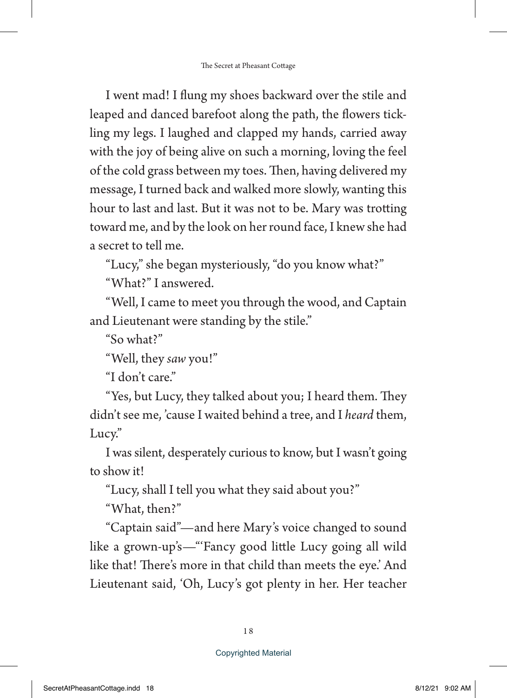I went mad! I flung my shoes backward over the stile and leaped and danced barefoot along the path, the flowers tickling my legs. I laughed and clapped my hands, carried away with the joy of being alive on such a morning, loving the feel of the cold grass between my toes. Then, having delivered my message, I turned back and walked more slowly, wanting this hour to last and last. But it was not to be. Mary was trotting toward me, and by the look on her round face, I knew she had a secret to tell me.

"Lucy," she began mysteriously, "do you know what?"

"What?" I answered.

"Well, I came to meet you through the wood, and Captain and Lieutenant were standing by the stile."

"So what?"

"Well, they *saw* you!"

"I don't care."

"Yes, but Lucy, they talked about you; I heard them. They didn't see me, 'cause I waited behind a tree, and I *heard* them, Lucy."

I was silent, desperately curious to know, but I wasn't going to show it!

"Lucy, shall I tell you what they said about you?"

"What, then?"

"Captain said"—and here Mary's voice changed to sound like a grown-up's—"'Fancy good little Lucy going all wild like that! There's more in that child than meets the eye.' And Lieutenant said, 'Oh, Lucy's got plenty in her. Her teacher